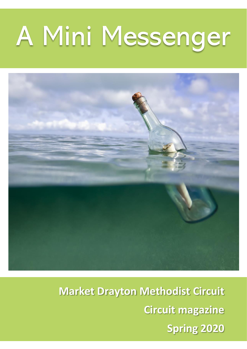# A Mini Messenger



**Market Drayton Methodist Circuit Circuit magazine Spring 2020**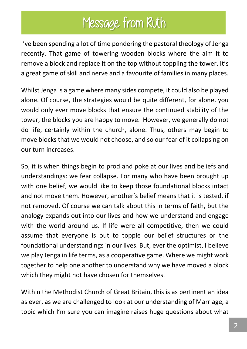## Message from Ruth

I've been spending a lot of time pondering the pastoral theology of Jenga recently. That game of towering wooden blocks where the aim it to remove a block and replace it on the top without toppling the tower. It's a great game of skill and nerve and a favourite of families in many places.

Whilst Jenga is a game where many sides compete, it could also be played alone. Of course, the strategies would be quite different, for alone, you would only ever move blocks that ensure the continued stability of the tower, the blocks you are happy to move. However, we generally do not do life, certainly within the church, alone. Thus, others may begin to move blocks that we would not choose, and so our fear of it collapsing on our turn increases.

So, it is when things begin to prod and poke at our lives and beliefs and understandings: we fear collapse. For many who have been brought up with one belief, we would like to keep those foundational blocks intact and not move them. However, another's belief means that it is tested, if not removed. Of course we can talk about this in terms of faith, but the analogy expands out into our lives and how we understand and engage with the world around us. If life were all competitive, then we could assume that everyone is out to topple our belief structures or the foundational understandings in our lives. But, ever the optimist, I believe we play Jenga in life terms, as a cooperative game. Where we might work together to help one another to understand why we have moved a block which they might not have chosen for themselves.

Within the Methodist Church of Great Britain, this is as pertinent an idea as ever, as we are challenged to look at our understanding of Marriage, a topic which I'm sure you can imagine raises huge questions about what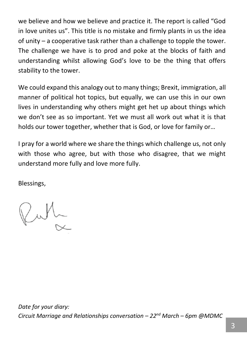we believe and how we believe and practice it. The report is called "God in love unites us". This title is no mistake and firmly plants in us the idea of unity – a cooperative task rather than a challenge to topple the tower. The challenge we have is to prod and poke at the blocks of faith and understanding whilst allowing God's love to be the thing that offers stability to the tower.

We could expand this analogy out to many things; Brexit, immigration, all manner of political hot topics, but equally, we can use this in our own lives in understanding why others might get het up about things which we don't see as so important. Yet we must all work out what it is that holds our tower together, whether that is God, or love for family or…

I pray for a world where we share the things which challenge us, not only with those who agree, but with those who disagree, that we might understand more fully and love more fully.

Blessings,

Pull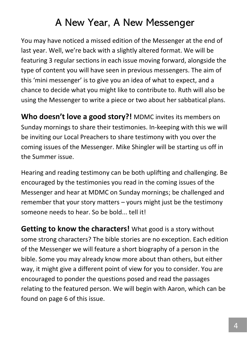### A New Year, A New Messenger

You may have noticed a missed edition of the Messenger at the end of last year. Well, we're back with a slightly altered format. We will be featuring 3 regular sections in each issue moving forward, alongside the type of content you will have seen in previous messengers. The aim of this 'mini messenger' is to give you an idea of what to expect, and a chance to decide what you might like to contribute to. Ruth will also be using the Messenger to write a piece or two about her sabbatical plans.

**Who doesn't love a good story?!** MDMC invites its members on Sunday mornings to share their testimonies. In-keeping with this we will be inviting our Local Preachers to share testimony with you over the coming issues of the Messenger. Mike Shingler will be starting us off in the Summer issue.

Hearing and reading testimony can be both uplifting and challenging. Be encouraged by the testimonies you read in the coming issues of the Messenger and hear at MDMC on Sunday mornings; be challenged and remember that your story matters – yours might just be the testimony someone needs to hear. So be bold... tell it!

**Getting to know the characters!** What good is a story without some strong characters? The bible stories are no exception. Each edition of the Messenger we will feature a short biography of a person in the bible. Some you may already know more about than others, but either way, it might give a different point of view for you to consider. You are encouraged to ponder the questions posed and read the passages relating to the featured person. We will begin with Aaron, which can be found on page 6 of this issue.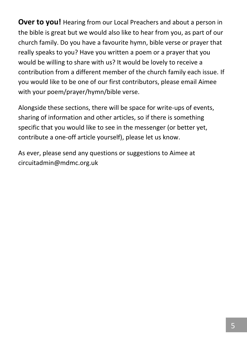**Over to you!** Hearing from our Local Preachers and about a person in the bible is great but we would also like to hear from you, as part of our church family. Do you have a favourite hymn, bible verse or prayer that really speaks to you? Have you written a poem or a prayer that you would be willing to share with us? It would be lovely to receive a contribution from a different member of the church family each issue. If you would like to be one of our first contributors, please email Aimee with your poem/prayer/hymn/bible verse.

Alongside these sections, there will be space for write-ups of events, sharing of information and other articles, so if there is something specific that you would like to see in the messenger (or better yet, contribute a one-off article yourself), please let us know.

As ever, please send any questions or suggestions to Aimee at circuitadmin@mdmc.org.uk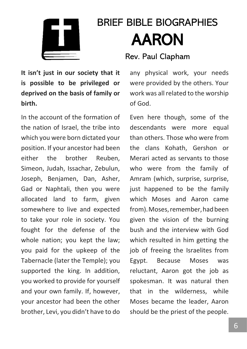

# BRIEF BIBLE BIOGRAPHIES AARON

#### **It isn't just in our society that it is possible to be privileged or deprived on the basis of family or birth.**

In the account of the formation of the nation of Israel, the tribe into which you were born dictated your position. If your ancestor had been either the brother Reuben, Simeon, Judah, Issachar, Zebulun, Joseph, Benjamen, Dan, Asher, Gad or Naphtali, then you were allocated land to farm, given somewhere to live and expected to take your role in society. You fought for the defense of the whole nation; you kept the law; you paid for the upkeep of the Tabernacle (later the Temple); you supported the king. In addition, you worked to provide for yourself and your own family. If, however, your ancestor had been the other brother, Levi, you didn't have to do

#### Rev. Paul Clapham

any physical work, your needs were provided by the others. Your work was all related to the worship of God.

Even here though, some of the descendants were more equal than others. Those who were from the clans Kohath, Gershon or Merari acted as servants to those who were from the family of Amram (which, surprise, surprise, just happened to be the family which Moses and Aaron came from). Moses, remember, had been given the vision of the burning bush and the interview with God which resulted in him getting the job of freeing the Israelites from Egypt. Because Moses was reluctant, Aaron got the job as spokesman. It was natural then that in the wilderness, while Moses became the leader, Aaron should be the priest of the people.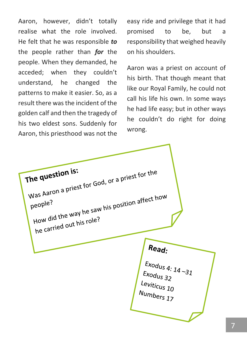Aaron, however, didn't totally realise what the role involved. He felt that he was responsible *to* the people rather than *for* the people. When they demanded, he acceded; when they couldn't understand, he changed the patterns to make it easier. So, as a result there was the incident of the golden calf and then the tragedy of his two eldest sons. Suddenly for Aaron, this priesthood was not the

easy ride and privilege that it had promised to be, but a responsibility that weighed heavily on his shoulders.

Aaron was a priest on account of his birth. That though meant that like our Royal Family, he could not call his life his own. In some ways he had life easy; but in other ways he couldn't do right for doing wrong.

The question is: The question is:<br>Was Aaron a priest for God, or a priest for the<br>Was Aaron a priest for God, or a priest for the yas Aaron a P.<br>people?<br>How did the way he saw his position affect how people? How did the Way in Role?<br>he carried out his role? Read: Exodus 4: 14 - 31  $Exodus$  32 Leviticus 10 Numbers 17